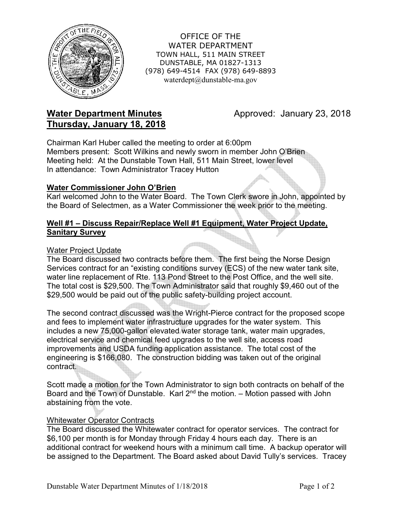

OFFICE OF THE WATER DEPARTMENT TOWN HALL, 511 MAIN STREET DUNSTABLE, MA 01827-1313 (978) 649-4514 FAX (978) 649-8893 waterdept@dunstable-ma.gov

# **Water Department Minutes Approved: January 23, 2018 Thursday, January 18, 2018**

Chairman Karl Huber called the meeting to order at 6:00pm Members present: Scott Wilkins and newly sworn in member John O'Brien Meeting held: At the Dunstable Town Hall, 511 Main Street, lower level In attendance: Town Administrator Tracey Hutton

#### **Water Commissioner John O'Brien**

Karl welcomed John to the Water Board. The Town Clerk swore in John, appointed by the Board of Selectmen, as a Water Commissioner the week prior to the meeting.

## **Well #1 – Discuss Repair/Replace Well #1 Equipment, Water Project Update, Sanitary Survey**

### Water Project Update

The Board discussed two contracts before them. The first being the Norse Design Services contract for an "existing conditions survey (ECS) of the new water tank site, water line replacement of Rte. 113 Pond Street to the Post Office, and the well site. The total cost is \$29,500. The Town Administrator said that roughly \$9,460 out of the \$29,500 would be paid out of the public safety-building project account.

The second contract discussed was the Wright-Pierce contract for the proposed scope and fees to implement water infrastructure upgrades for the water system. This includes a new 75,000-gallon elevated water storage tank, water main upgrades, electrical service and chemical feed upgrades to the well site, access road improvements and USDA funding application assistance. The total cost of the engineering is \$166,080. The construction bidding was taken out of the original contract.

Scott made a motion for the Town Administrator to sign both contracts on behalf of the Board and the Town of Dunstable. Karl  $2^{nd}$  the motion. – Motion passed with John abstaining from the vote.

#### Whitewater Operator Contracts

The Board discussed the Whitewater contract for operator services. The contract for \$6,100 per month is for Monday through Friday 4 hours each day. There is an additional contract for weekend hours with a minimum call time. A backup operator will be assigned to the Department. The Board asked about David Tully's services. Tracey